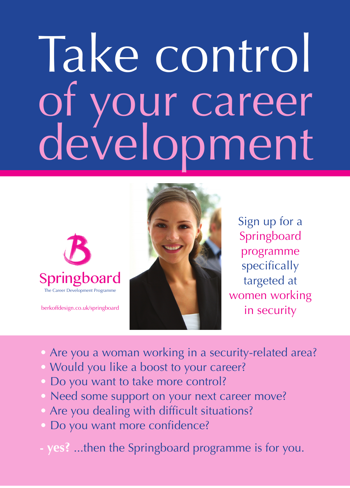# Take control of your career development



berkoffdesign.co.uk/springboard



Sign up for a Springboard programme specifically targeted at women working in security

- Are you a woman working in a security-related area?
- Would you like a boost to your career?
- Do you want to take more control?
- Need some support on your next career move?
- Are you dealing with difficult situations?
- Do you want more confidence?
- **- yes?** ...then the Springboard programme is for you.